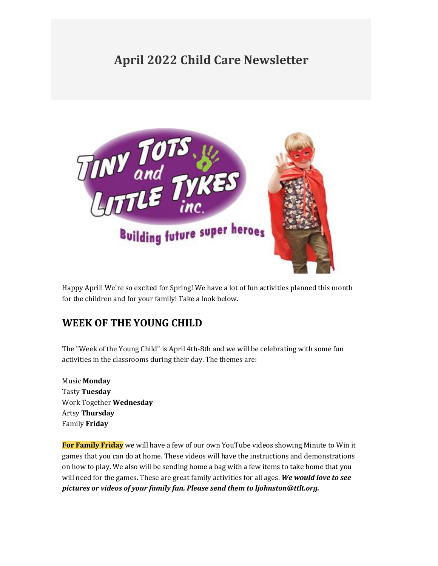# **April 2022 Child Care Newsletter**



Happy April! We're so excited for Spring! We have a lot of fun activities planned this month for the children and for your family! Take a look below.

# **WEEK OF THE YOUNG CHILD**

The "Week of the Young Child" is April 4th-8th and we will be celebrating with some fun activities in the classrooms during their day. The themes are:

Music **Monday** Tasty **Tuesday** Work Together **Wednesday** Artsy **Thursday** Family **Friday**

**For Family Friday** we will have a few of our own YouTube videos showing Minute to Win it games that you can do at home. These videos will have the instructions and demonstrations on how to play. We also will be sending home a bag with a few items to take home that you will need for the games. These are great family activities for all ages. *We would love to see pictures or videos of your family fun. Please send them to ljohnston@ttlt.org.*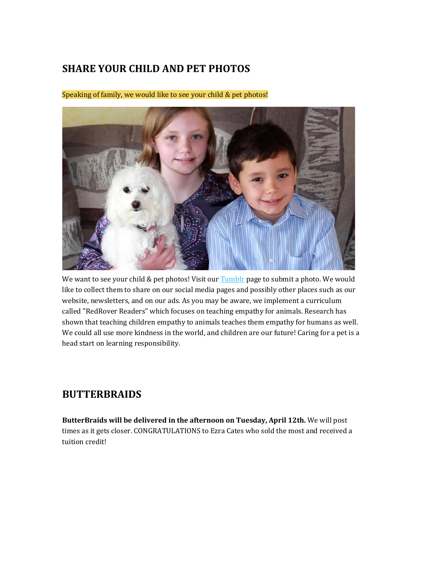## **SHARE YOUR CHILD AND PET PHOTOS**

Speaking of family, we would like to see your child & pet photos!



We want to see your child & pet photos! Visit our [Tumblr](https://tinytotsandlittletykes.tumblr.com/submit) page to submit a photo. We would like to collect them to share on our social media pages and possibly other places such as our website, newsletters, and on our ads. As you may be aware, we implement a curriculum called "RedRover Readers" which focuses on teaching empathy for animals. Research has shown that teaching children empathy to animals teaches them empathy for humans as well. We could all use more kindness in the world, and children are our future! Caring for a pet is a head start on learning responsibility.

#### **BUTTERBRAIDS**

**ButterBraids will be delivered in the afternoon on Tuesday, April 12th.** We will post times as it gets closer. CONGRATULATIONS to Ezra Cates who sold the most and received a tuition credit!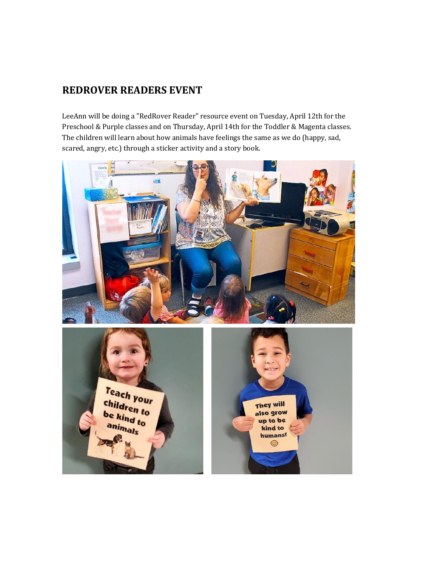# **REDROVER READERS EVENT**

LeeAnn will be doing a "RedRover Reader" resource event on Tuesday, April 12th for the Preschool & Purple classes and on Thursday, April 14th for the Toddler & Magenta classes. The children will learn about how animals have feelings the same as we do (happy, sad, scared, angry, etc.) through a sticker activity and a story book.